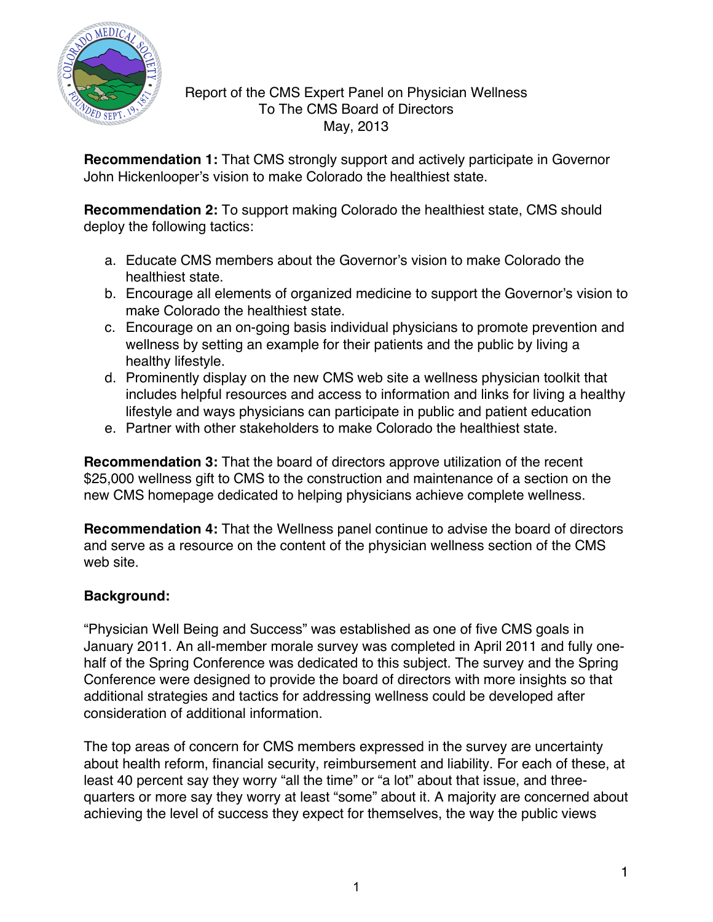

### Report of the CMS Expert Panel on Physician Wellness To The CMS Board of Directors May, 2013

**Recommendation 1:** That CMS strongly support and actively participate in Governor John Hickenlooper's vision to make Colorado the healthiest state.

**Recommendation 2:** To support making Colorado the healthiest state, CMS should deploy the following tactics:

- a. Educate CMS members about the Governor's vision to make Colorado the healthiest state.
- b. Encourage all elements of organized medicine to support the Governor's vision to make Colorado the healthiest state.
- c. Encourage on an on-going basis individual physicians to promote prevention and wellness by setting an example for their patients and the public by living a healthy lifestyle.
- d. Prominently display on the new CMS web site a wellness physician toolkit that includes helpful resources and access to information and links for living a healthy lifestyle and ways physicians can participate in public and patient education
- e. Partner with other stakeholders to make Colorado the healthiest state.

**Recommendation 3:** That the board of directors approve utilization of the recent \$25,000 wellness gift to CMS to the construction and maintenance of a section on the new CMS homepage dedicated to helping physicians achieve complete wellness.

**Recommendation 4:** That the Wellness panel continue to advise the board of directors and serve as a resource on the content of the physician wellness section of the CMS web site.

# **Background:**

"Physician Well Being and Success" was established as one of five CMS goals in January 2011. An all-member morale survey was completed in April 2011 and fully onehalf of the Spring Conference was dedicated to this subject. The survey and the Spring Conference were designed to provide the board of directors with more insights so that additional strategies and tactics for addressing wellness could be developed after consideration of additional information.

The top areas of concern for CMS members expressed in the survey are uncertainty about health reform, financial security, reimbursement and liability. For each of these, at least 40 percent say they worry "all the time" or "a lot" about that issue, and threequarters or more say they worry at least "some" about it. A majority are concerned about achieving the level of success they expect for themselves, the way the public views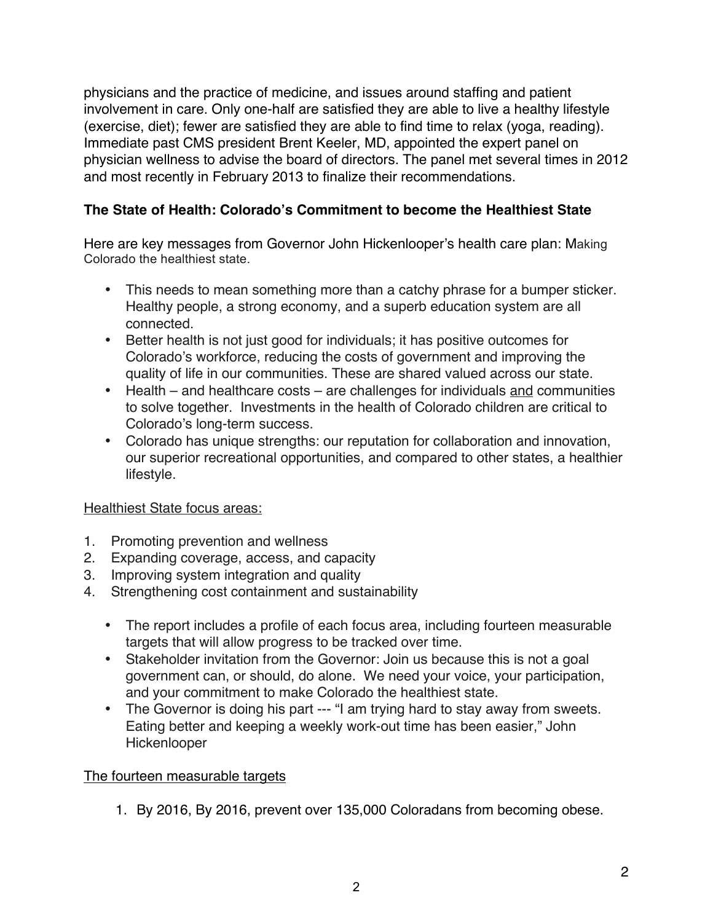physicians and the practice of medicine, and issues around staffing and patient involvement in care. Only one-half are satisfied they are able to live a healthy lifestyle (exercise, diet); fewer are satisfied they are able to find time to relax (yoga, reading). Immediate past CMS president Brent Keeler, MD, appointed the expert panel on physician wellness to advise the board of directors. The panel met several times in 2012 and most recently in February 2013 to finalize their recommendations.

## **The State of Health: Colorado's Commitment to become the Healthiest State**

Here are key messages from Governor John Hickenlooper's health care plan: Making Colorado the healthiest state.

- This needs to mean something more than a catchy phrase for a bumper sticker. Healthy people, a strong economy, and a superb education system are all connected.
- Better health is not just good for individuals; it has positive outcomes for Colorado's workforce, reducing the costs of government and improving the quality of life in our communities. These are shared valued across our state.
- Health and healthcare costs are challenges for individuals and communities to solve together. Investments in the health of Colorado children are critical to Colorado's long-term success.
- Colorado has unique strengths: our reputation for collaboration and innovation, our superior recreational opportunities, and compared to other states, a healthier lifestyle.

### Healthiest State focus areas:

- 1. Promoting prevention and wellness
- 2. Expanding coverage, access, and capacity
- 3. Improving system integration and quality
- 4. Strengthening cost containment and sustainability
	- The report includes a profile of each focus area, including fourteen measurable targets that will allow progress to be tracked over time.
	- Stakeholder invitation from the Governor: Join us because this is not a goal government can, or should, do alone. We need your voice, your participation, and your commitment to make Colorado the healthiest state.
	- The Governor is doing his part --- "I am trying hard to stay away from sweets. Eating better and keeping a weekly work-out time has been easier," John Hickenlooper

### The fourteen measurable targets

1. By 2016, By 2016, prevent over 135,000 Coloradans from becoming obese.

2